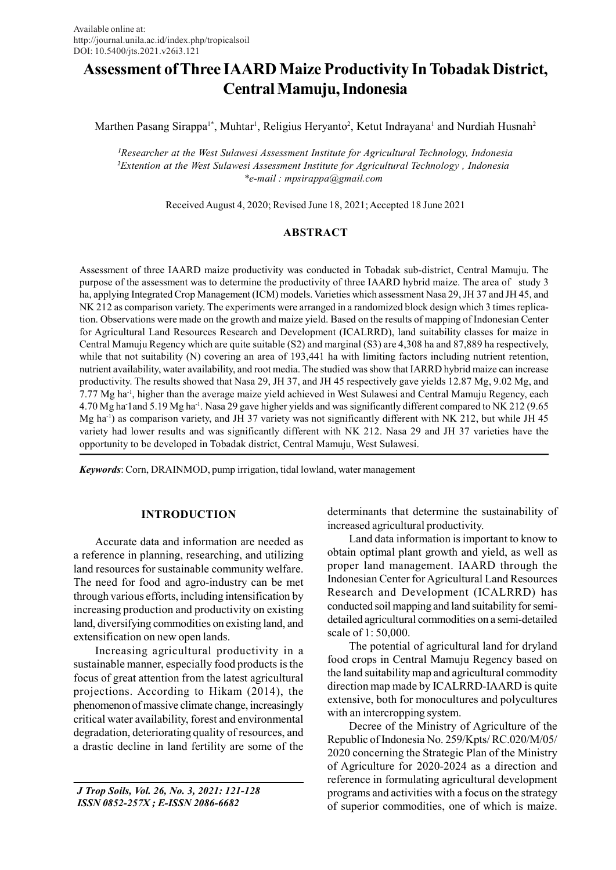# Assessment of Three IAARD Maize Productivity In Tobadak District, Central Mamuju, Indonesia

Marthen Pasang Sirappa<sup>1\*</sup>, Muhtar<sup>1</sup>, Religius Heryanto<sup>2</sup>, Ketut Indrayana<sup>1</sup> and Nurdiah Husnah<sup>2</sup>

<sup>1</sup>Researcher at the West Sulawesi Assessment Institute for Agricultural Technology, Indonesia <sup>2</sup>Extention at the West Sulawesi Assessment Institute for Agricultural Technology , Indonesia \*e-mail : mpsirappa@gmail.com

Received August 4, 2020; Revised June 18, 2021; Accepted 18 June 2021

## ABSTRACT

Assessment of three IAARD maize productivity was conducted in Tobadak sub-district, Central Mamuju. The purpose of the assessment was to determine the productivity of three IAARD hybrid maize. The area of study 3 ha, applying Integrated Crop Management (ICM) models. Varieties which assessment Nasa 29, JH 37 and JH 45, and NK 212 as comparison variety. The experiments were arranged in a randomized block design which 3 times replication. Observations were made on the growth and maize yield. Based on the results of mapping of Indonesian Center for Agricultural Land Resources Research and Development (ICALRRD), land suitability classes for maize in Central Mamuju Regency which are quite suitable (S2) and marginal (S3) are 4,308 ha and 87,889 ha respectively, while that not suitability (N) covering an area of 193,441 ha with limiting factors including nutrient retention, nutrient availability, water availability, and root media. The studied was show that IARRD hybrid maize can increase productivity. The results showed that Nasa 29, JH 37, and JH 45 respectively gave yields 12.87 Mg, 9.02 Mg, and 7.77 Mg ha-1, higher than the average maize yield achieved in West Sulawesi and Central Mamuju Regency, each 4.70 Mg ha-1and 5.19 Mg ha-1. Nasa 29 gave higher yields and was significantly different compared to NK 212 (9.65 Mg ha-1) as comparison variety, and JH 37 variety was not significantly different with NK 212, but while JH 45 variety had lower results and was significantly different with NK 212. Nasa 29 and JH 37 varieties have the opportunity to be developed in Tobadak district, Central Mamuju, West Sulawesi.

Keywords: Corn, DRAINMOD, pump irrigation, tidal lowland, water management

# INTRODUCTION

Accurate data and information are needed as a reference in planning, researching, and utilizing land resources for sustainable community welfare. The need for food and agro-industry can be met through various efforts, including intensification by increasing production and productivity on existing land, diversifying commodities on existing land, and extensification on new open lands.

Increasing agricultural productivity in a sustainable manner, especially food products is the focus of great attention from the latest agricultural projections. According to Hikam (2014), the phenomenon of massive climate change, increasingly critical water availability, forest and environmental degradation, deteriorating quality of resources, and a drastic decline in land fertility are some of the

 J Trop Soils, Vol. 26, No. 3, 2021: 121-128 ISSN 0852-257X ; E-ISSN 2086-6682

determinants that determine the sustainability of increased agricultural productivity.

Land data information is important to know to obtain optimal plant growth and yield, as well as proper land management. IAARD through the Indonesian Center for Agricultural Land Resources Research and Development (ICALRRD) has conducted soil mapping and land suitability for semidetailed agricultural commodities on a semi-detailed scale of 1: 50,000.

The potential of agricultural land for dryland food crops in Central Mamuju Regency based on the land suitability map and agricultural commodity direction map made by ICALRRD-IAARD is quite extensive, both for monocultures and polycultures with an intercropping system.

Decree of the Ministry of Agriculture of the Republic of Indonesia No. 259/Kpts/ RC.020/M/05/ 2020 concerning the Strategic Plan of the Ministry of Agriculture for 2020-2024 as a direction and reference in formulating agricultural development programs and activities with a focus on the strategy of superior commodities, one of which is maize.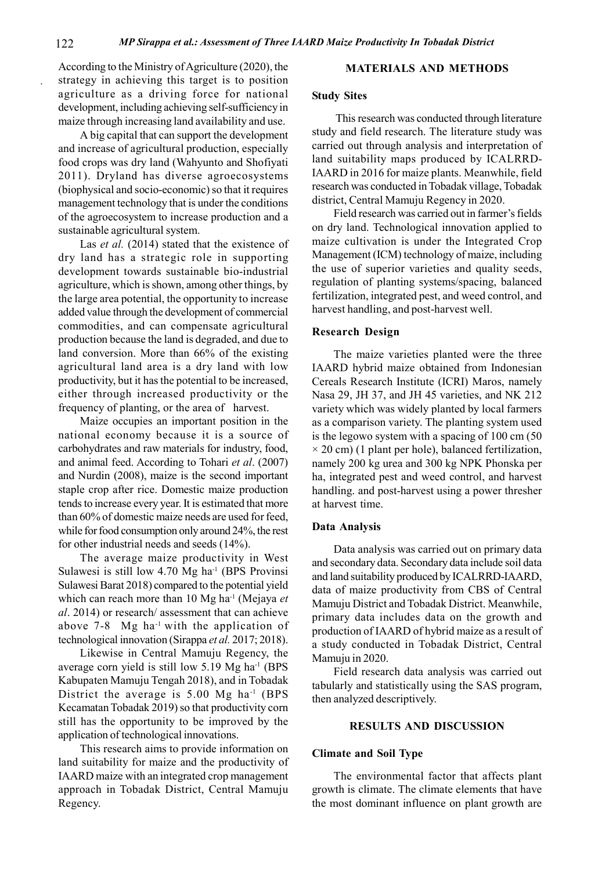According to the Ministry of Agriculture (2020), the strategy in achieving this target is to position agriculture as a driving force for national development, including achieving self-sufficiency in maize through increasing land availability and use.

A big capital that can support the development and increase of agricultural production, especially food crops was dry land (Wahyunto and Shofiyati 2011). Dryland has diverse agroecosystems (biophysical and socio-economic) so that it requires management technology that is under the conditions of the agroecosystem to increase production and a sustainable agricultural system.

Las *et al.* (2014) stated that the existence of dry land has a strategic role in supporting development towards sustainable bio-industrial agriculture, which is shown, among other things, by the large area potential, the opportunity to increase added value through the development of commercial commodities, and can compensate agricultural production because the land is degraded, and due to land conversion. More than 66% of the existing agricultural land area is a dry land with low productivity, but it has the potential to be increased, either through increased productivity or the frequency of planting, or the area of harvest.

Maize occupies an important position in the national economy because it is a source of carbohydrates and raw materials for industry, food, and animal feed. According to Tohari et al. (2007) and Nurdin (2008), maize is the second important staple crop after rice. Domestic maize production tends to increase every year. It is estimated that more than 60% of domestic maize needs are used for feed, while for food consumption only around 24%, the rest for other industrial needs and seeds (14%).

The average maize productivity in West Sulawesi is still low 4.70 Mg ha<sup>-1</sup> (BPS Provinsi Sulawesi Barat 2018) compared to the potential yield which can reach more than 10 Mg ha<sup>-1</sup> (Mejaya et al. 2014) or research/ assessment that can achieve above  $7-8$  Mg ha<sup>-1</sup> with the application of technological innovation (Sirappa et al. 2017; 2018).

Likewise in Central Mamuju Regency, the average corn yield is still low 5.19 Mg ha<sup>-1</sup> (BPS Kabupaten Mamuju Tengah 2018), and in Tobadak District the average is 5.00 Mg ha<sup>-1</sup> (BPS Kecamatan Tobadak 2019) so that productivity corn still has the opportunity to be improved by the application of technological innovations.

This research aims to provide information on land suitability for maize and the productivity of IAARD maize with an integrated crop management approach in Tobadak District, Central Mamuju Regency.

## MATERIALS AND METHODS

## Study Sites

 This research was conducted through literature study and field research. The literature study was carried out through analysis and interpretation of land suitability maps produced by ICALRRD-IAARD in 2016 for maize plants. Meanwhile, field research was conducted in Tobadak village, Tobadak district, Central Mamuju Regency in 2020.

Field research was carried out in farmer's fields on dry land. Technological innovation applied to maize cultivation is under the Integrated Crop Management (ICM) technology of maize, including the use of superior varieties and quality seeds, regulation of planting systems/spacing, balanced fertilization, integrated pest, and weed control, and harvest handling, and post-harvest well.

## Research Design

The maize varieties planted were the three IAARD hybrid maize obtained from Indonesian Cereals Research Institute (ICRI) Maros, namely Nasa 29, JH 37, and JH 45 varieties, and NK 212 variety which was widely planted by local farmers as a comparison variety. The planting system used is the legowo system with a spacing of 100 cm (50  $\times$  20 cm) (1 plant per hole), balanced fertilization, namely 200 kg urea and 300 kg NPK Phonska per ha, integrated pest and weed control, and harvest handling. and post-harvest using a power thresher at harvest time.

#### Data Analysis

Data analysis was carried out on primary data and secondary data. Secondary data include soil data and land suitability produced by ICALRRD-IAARD, data of maize productivity from CBS of Central Mamuju District and Tobadak District. Meanwhile, primary data includes data on the growth and production of IAARD of hybrid maize as a result of a study conducted in Tobadak District, Central Mamuju in 2020.

Field research data analysis was carried out tabularly and statistically using the SAS program, then analyzed descriptively.

#### RESULTS AND DISCUSSION

#### Climate and Soil Type

The environmental factor that affects plant growth is climate. The climate elements that have the most dominant influence on plant growth are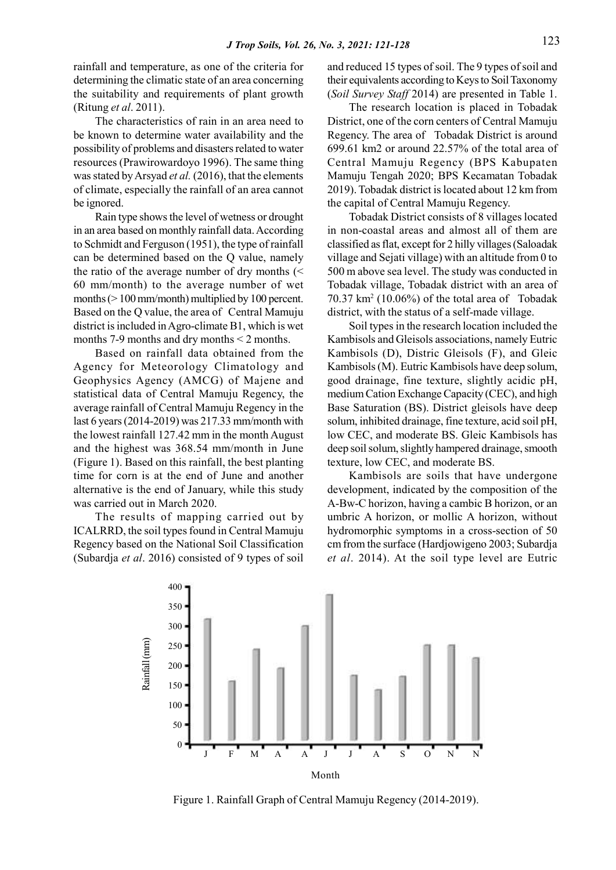rainfall and temperature, as one of the criteria for determining the climatic state of an area concerning the suitability and requirements of plant growth (Ritung et al. 2011).

The characteristics of rain in an area need to be known to determine water availability and the possibility of problems and disasters related to water resources (Prawirowardoyo 1996). The same thing was stated by Arsyad et al. (2016), that the elements of climate, especially the rainfall of an area cannot be ignored.

Rain type shows the level of wetness or drought in an area based on monthly rainfall data. According to Schmidt and Ferguson (1951), the type of rainfall can be determined based on the Q value, namely the ratio of the average number of dry months (< 60 mm/month) to the average number of wet months (> 100 mm/month) multiplied by 100 percent. Based on the Q value, the area of Central Mamuju district is included in Agro-climate B1, which is wet months 7-9 months and dry months < 2 months.

Based on rainfall data obtained from the Agency for Meteorology Climatology and Geophysics Agency (AMCG) of Majene and statistical data of Central Mamuju Regency, the average rainfall of Central Mamuju Regency in the last 6 years (2014-2019) was 217.33 mm/month with the lowest rainfall 127.42 mm in the month August and the highest was 368.54 mm/month in June (Figure 1). Based on this rainfall, the best planting time for corn is at the end of June and another alternative is the end of January, while this study was carried out in March 2020.

The results of mapping carried out by ICALRRD, the soil types found in Central Mamuju Regency based on the National Soil Classification (Subardja et al. 2016) consisted of 9 types of soil and reduced 15 types of soil. The 9 types of soil and their equivalents according to Keys to Soil Taxonomy (Soil Survey Staff 2014) are presented in Table 1.

The research location is placed in Tobadak District, one of the corn centers of Central Mamuju Regency. The area of Tobadak District is around 699.61 km2 or around 22.57% of the total area of Central Mamuju Regency (BPS Kabupaten Mamuju Tengah 2020; BPS Kecamatan Tobadak 2019). Tobadak district is located about 12 km from the capital of Central Mamuju Regency.

Tobadak District consists of 8 villages located in non-coastal areas and almost all of them are classified as flat, except for 2 hilly villages (Saloadak village and Sejati village) with an altitude from 0 to 500 m above sea level. The study was conducted in Tobadak village, Tobadak district with an area of 70.37 km<sup>2</sup> (10.06%) of the total area of Tobadak district, with the status of a self-made village.

Soil types in the research location included the Kambisols and Gleisols associations, namely Eutric Kambisols (D), Distric Gleisols (F), and Gleic Kambisols (M). Eutric Kambisols have deep solum, good drainage, fine texture, slightly acidic pH, medium Cation Exchange Capacity (CEC), and high Base Saturation (BS). District gleisols have deep solum, inhibited drainage, fine texture, acid soil pH, low CEC, and moderate BS. Gleic Kambisols has deep soil solum, slightly hampered drainage, smooth texture, low CEC, and moderate BS.

Kambisols are soils that have undergone development, indicated by the composition of the A-Bw-C horizon, having a cambic B horizon, or an umbric A horizon, or mollic A horizon, without hydromorphic symptoms in a cross-section of 50 cm from the surface (Hardjowigeno 2003; Subardja et al. 2014). At the soil type level are Eutric



Figure 1. Rainfall Graph of Central Mamuju Regency (2014-2019).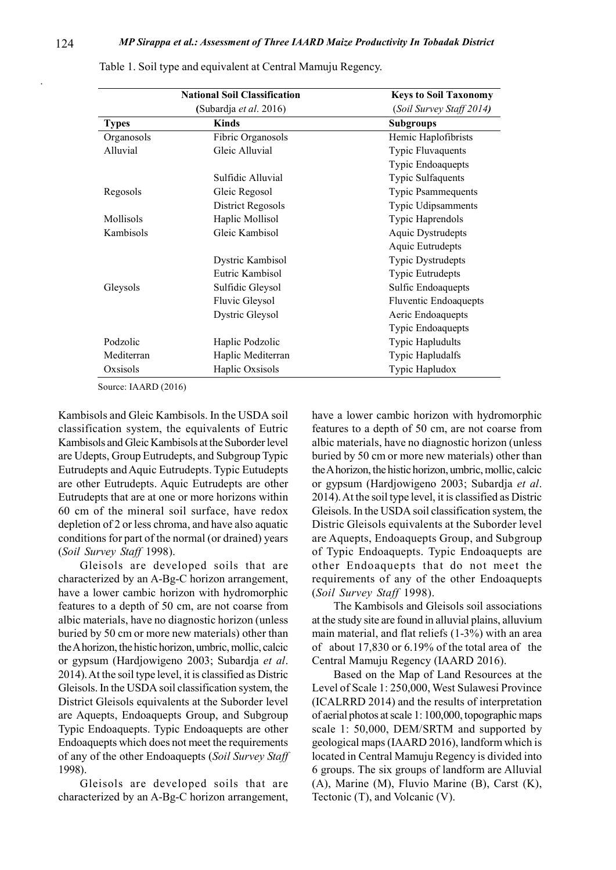| <b>National Soil Classification</b> |                        | <b>Keys to Soil Taxonomy</b> |  |
|-------------------------------------|------------------------|------------------------------|--|
|                                     | (Subardja et al. 2016) | (Soil Survey Staff 2014)     |  |
| <b>Types</b>                        | <b>Kinds</b>           | <b>Subgroups</b>             |  |
| Organosols                          | Fibric Organosols      | Hemic Haplofibrists          |  |
| Alluvial                            | Gleic Alluvial         | Typic Fluvaquents            |  |
|                                     |                        | Typic Endoaquepts            |  |
|                                     | Sulfidic Alluvial      | Typic Sulfaquents            |  |
| Regosols                            | Gleic Regosol          | <b>Typic Psammequents</b>    |  |
|                                     | District Regosols      | Typic Udipsamments           |  |
| Mollisols                           | Haplic Mollisol        | Typic Haprendols             |  |
| Kambisols                           | Gleic Kambisol         | <b>Aquic Dystrudepts</b>     |  |
|                                     |                        | Aquic Eutrudepts             |  |
|                                     | Dystric Kambisol       | Typic Dystrudepts            |  |
|                                     | Eutric Kambisol        | <b>Typic Eutrudepts</b>      |  |
| Gleysols                            | Sulfidic Gleysol       | Sulfic Endoaquepts           |  |
|                                     | Fluvic Gleysol         | Fluventic Endoaquepts        |  |
|                                     | Dystric Gleysol        | Aeric Endoaquepts            |  |
|                                     |                        | Typic Endoaquepts            |  |
| Podzolic                            | Haplic Podzolic        | Typic Hapludults             |  |
| Mediterran                          | Haplic Mediterran      | Typic Hapludalfs             |  |
| Oxsisols                            | Haplic Oxsisols        | Typic Hapludox               |  |

Table 1. Soil type and equivalent at Central Mamuju Regency.

Source: IAARD (2016)

Kambisols and Gleic Kambisols. In the USDA soil classification system, the equivalents of Eutric Kambisols and Gleic Kambisols at the Suborder level are Udepts, Group Eutrudepts, and Subgroup Typic Eutrudepts and Aquic Eutrudepts. Typic Eutudepts are other Eutrudepts. Aquic Eutrudepts are other Eutrudepts that are at one or more horizons within 60 cm of the mineral soil surface, have redox depletion of 2 or less chroma, and have also aquatic conditions for part of the normal (or drained) years (Soil Survey Staff 1998).

Gleisols are developed soils that are characterized by an A-Bg-C horizon arrangement, have a lower cambic horizon with hydromorphic features to a depth of 50 cm, are not coarse from albic materials, have no diagnostic horizon (unless buried by 50 cm or more new materials) other than the A horizon, the histic horizon, umbric, mollic, calcic or gypsum (Hardjowigeno 2003; Subardja et al. 2014). At the soil type level, it is classified as Distric Gleisols. In the USDA soil classification system, the District Gleisols equivalents at the Suborder level are Aquepts, Endoaquepts Group, and Subgroup Typic Endoaquepts. Typic Endoaquepts are other Endoaquepts which does not meet the requirements of any of the other Endoaquepts (Soil Survey Staff 1998).

Gleisols are developed soils that are characterized by an A-Bg-C horizon arrangement, have a lower cambic horizon with hydromorphic features to a depth of 50 cm, are not coarse from albic materials, have no diagnostic horizon (unless buried by 50 cm or more new materials) other than the A horizon, the histic horizon, umbric, mollic, calcic or gypsum (Hardjowigeno 2003; Subardja et al. 2014). At the soil type level, it is classified as Distric Gleisols. In the USDA soil classification system, the Distric Gleisols equivalents at the Suborder level are Aquepts, Endoaquepts Group, and Subgroup of Typic Endoaquepts. Typic Endoaquepts are other Endoaquepts that do not meet the requirements of any of the other Endoaquepts (Soil Survey Staff 1998).

The Kambisols and Gleisols soil associations at the study site are found in alluvial plains, alluvium main material, and flat reliefs (1-3%) with an area of about 17,830 or 6.19% of the total area of the Central Mamuju Regency (IAARD 2016).

Based on the Map of Land Resources at the Level of Scale 1: 250,000, West Sulawesi Province (ICALRRD 2014) and the results of interpretation of aerial photos at scale 1: 100,000, topographic maps scale 1: 50,000, DEM/SRTM and supported by geological maps (IAARD 2016), landform which is located in Central Mamuju Regency is divided into 6 groups. The six groups of landform are Alluvial (A), Marine (M), Fluvio Marine (B), Carst (K), Tectonic (T), and Volcanic (V).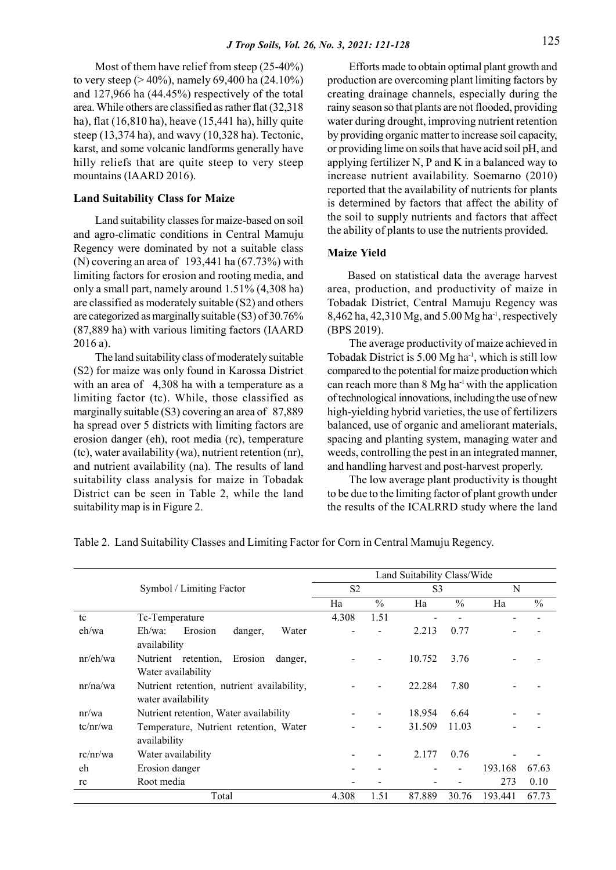Most of them have relief from steep (25-40%) to very steep (> 40%), namely 69,400 ha (24.10%) and 127,966 ha (44.45%) respectively of the total area. While others are classified as rather flat (32,318 ha), flat (16,810 ha), heave (15,441 ha), hilly quite steep (13,374 ha), and wavy (10,328 ha). Tectonic, karst, and some volcanic landforms generally have hilly reliefs that are quite steep to very steep mountains (IAARD 2016).

## Land Suitability Class for Maize

Land suitability classes for maize-based on soil and agro-climatic conditions in Central Mamuju Regency were dominated by not a suitable class (N) covering an area of 193,441 ha (67.73%) with limiting factors for erosion and rooting media, and only a small part, namely around 1.51% (4,308 ha) are classified as moderately suitable (S2) and others are categorized as marginally suitable (S3) of 30.76% (87,889 ha) with various limiting factors (IAARD 2016 a).

The land suitability class of moderately suitable (S2) for maize was only found in Karossa District with an area of 4,308 ha with a temperature as a limiting factor (tc). While, those classified as marginally suitable (S3) covering an area of 87,889 ha spread over 5 districts with limiting factors are erosion danger (eh), root media (rc), temperature (tc), water availability (wa), nutrient retention (nr), and nutrient availability (na). The results of land suitability class analysis for maize in Tobadak District can be seen in Table 2, while the land suitability map is in Figure 2.

Efforts made to obtain optimal plant growth and production are overcoming plant limiting factors by creating drainage channels, especially during the rainy season so that plants are not flooded, providing water during drought, improving nutrient retention by providing organic matter to increase soil capacity, or providing lime on soils that have acid soil pH, and applying fertilizer N, P and K in a balanced way to increase nutrient availability. Soemarno (2010) reported that the availability of nutrients for plants is determined by factors that affect the ability of the soil to supply nutrients and factors that affect the ability of plants to use the nutrients provided.

## Maize Yield

Based on statistical data the average harvest area, production, and productivity of maize in Tobadak District, Central Mamuju Regency was 8,462 ha, 42,310 Mg, and 5.00 Mg ha-1, respectively (BPS 2019).

The average productivity of maize achieved in Tobadak District is 5.00 Mg ha-1, which is still low compared to the potential for maize production which can reach more than  $8 \text{ Mg}$  ha<sup>-1</sup> with the application of technological innovations, including the use of new high-yielding hybrid varieties, the use of fertilizers balanced, use of organic and ameliorant materials, spacing and planting system, managing water and weeds, controlling the pest in an integrated manner, and handling harvest and post-harvest properly.

The low average plant productivity is thought to be due to the limiting factor of plant growth under the results of the ICALRRD study where the land

Symbol / Limiting Factor Land Suitability Class/Wide S2 S3 N Ha  $\%$  Ha  $\%$  Ha  $\%$ tc  $T_c$ -Temperature  $4.308$   $1.51$ eh/wa Eh/wa: Erosion danger, Water availability  $-$  2.213 0.77  $$ nr/eh/wa Nutrient retention, Erosion danger, Water availability  $-$  10.752 3.76  $$ nr/na/wa Nutrient retention, nutrient availability, water availability - 22.284 7.80 - nr/wa Nutrient retention, Water availability - - 18.954 6.64 tc/nr/wa Temperature, Nutrient retention, Water availability 31.509 11.03 rc/nr/wa Water availability  $-$  - 2.177 0.76 eh Erosion danger - - - - 193.168 67.63 rc Root media 1988 - 1988 - 1988 - 1988 - 1989 - 1989 - 1989 - 1989 - 1989 - 1989 - 1989 - 1989 - 1989 - 1989 - 198 Total 4.308 1.51 87.889 30.76 193.441 67.73

Table 2. Land Suitability Classes and Limiting Factor for Corn in Central Mamuju Regency.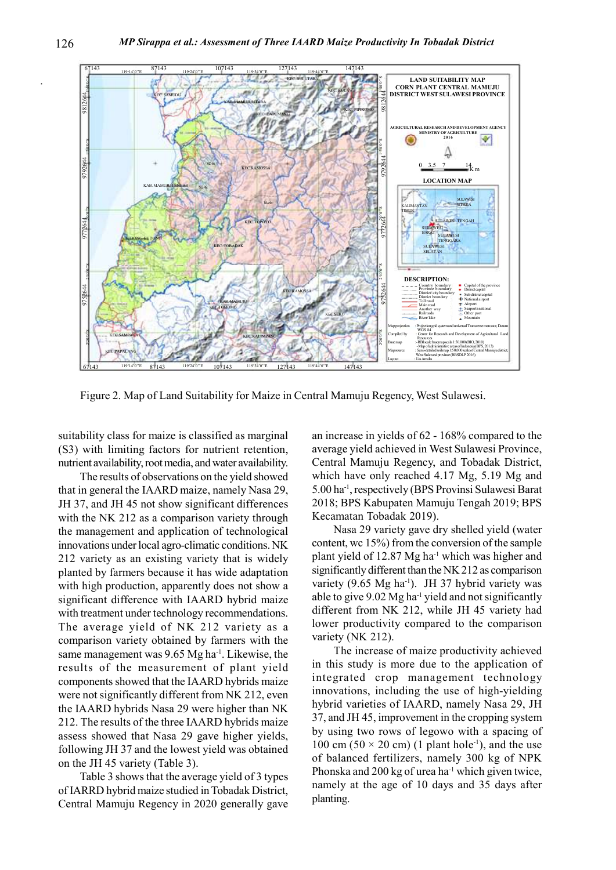

Figure 2. Map of Land Suitability for Maize in Central Mamuju Regency, West Sulawesi.

suitability class for maize is classified as marginal (S3) with limiting factors for nutrient retention, nutrient availability, root media, and water availability.

The results of observations on the yield showed that in general the IAARD maize, namely Nasa 29, JH 37, and JH 45 not show significant differences with the NK 212 as a comparison variety through the management and application of technological innovations under local agro-climatic conditions. NK 212 variety as an existing variety that is widely planted by farmers because it has wide adaptation with high production, apparently does not show a significant difference with IAARD hybrid maize with treatment under technology recommendations. The average yield of NK 212 variety as a comparison variety obtained by farmers with the same management was 9.65 Mg ha<sup>-1</sup>. Likewise, the results of the measurement of plant yield components showed that the IAARD hybrids maize were not significantly different from NK 212, even the IAARD hybrids Nasa 29 were higher than NK 212. The results of the three IAARD hybrids maize assess showed that Nasa 29 gave higher yields, following JH 37 and the lowest yield was obtained on the JH 45 variety (Table 3).

Table 3 shows that the average yield of 3 types of IARRD hybrid maize studied in Tobadak District, Central Mamuju Regency in 2020 generally gave

an increase in yields of 62 - 168% compared to the average yield achieved in West Sulawesi Province, Central Mamuju Regency, and Tobadak District, which have only reached 4.17 Mg, 5.19 Mg and 5.00 ha-1, respectively (BPS Provinsi Sulawesi Barat 2018; BPS Kabupaten Mamuju Tengah 2019; BPS Kecamatan Tobadak 2019).

Nasa 29 variety gave dry shelled yield (water content, wc 15%) from the conversion of the sample plant yield of 12.87 Mg ha-1 which was higher and significantly different than the NK 212 as comparison variety (9.65 Mg ha<sup>-1</sup>). JH 37 hybrid variety was able to give  $9.02 \text{ Mg}$  ha<sup>-1</sup> yield and not significantly different from NK 212, while JH 45 variety had lower productivity compared to the comparison variety (NK 212).

The increase of maize productivity achieved in this study is more due to the application of integrated crop management technology innovations, including the use of high-yielding hybrid varieties of IAARD, namely Nasa 29, JH 37, and JH 45, improvement in the cropping system by using two rows of legowo with a spacing of 100 cm (50  $\times$  20 cm) (1 plant hole<sup>-1</sup>), and the use of balanced fertilizers, namely 300 kg of NPK Phonska and 200 kg of urea ha<sup>-1</sup> which given twice, namely at the age of 10 days and 35 days after planting.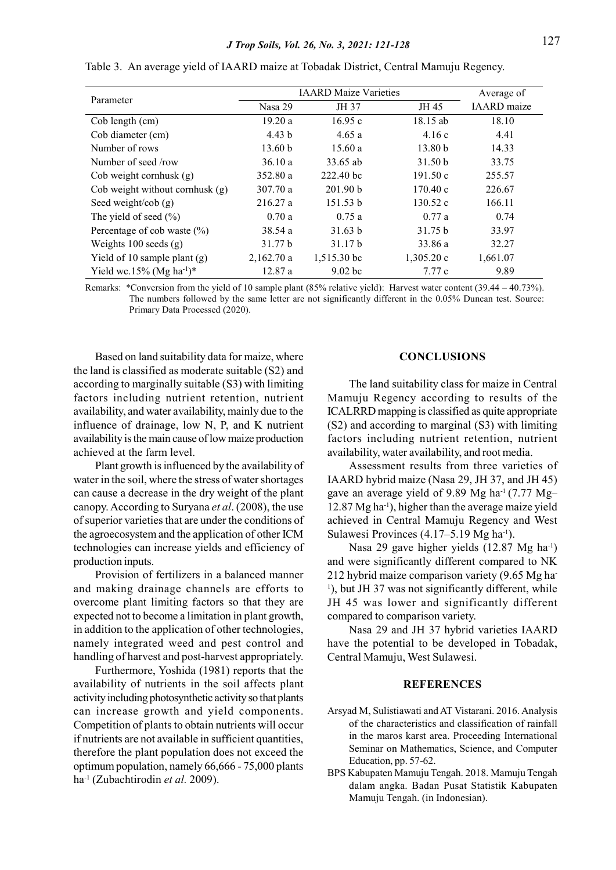|                                      | <b>IAARD</b> Maize Varieties |                    |                    | Average of         |
|--------------------------------------|------------------------------|--------------------|--------------------|--------------------|
| Parameter                            | Nasa 29                      | JH 37              | JH 45              | <b>IAARD</b> maize |
| Cob length (cm)                      | 19.20a                       | 16.95c             | 18.15 ab           | 18.10              |
| Cob diameter (cm)                    | 4.43 b                       | 4.65a              | 4.16c              | 4.41               |
| Number of rows                       | 13.60 b                      | 15.60a             | 13.80 <sub>b</sub> | 14.33              |
| Number of seed /row                  | 36.10a                       | 33.65 ab           | 31.50 b            | 33.75              |
| Cob weight cornhusk $(g)$            | 352.80 a                     | 222.40 bc          | 191.50c            | 255.57             |
| Cob weight without cornhusk $(g)$    | 307.70 a                     | 201.90 b           | 170.40c            | 226.67             |
| Seed weight/cob $(g)$                | 216.27 a                     | 151.53 b           | 130.52c            | 166.11             |
| The yield of seed $(\% )$            | 0.70a                        | 0.75a              | 0.77a              | 0.74               |
| Percentage of cob waste $(\% )$      | 38.54a                       | 31.63 b            | 31.75 b            | 33.97              |
| Weights $100$ seeds $(g)$            | 31.77 b                      | 31.17 b            | 33.86 a            | 32.27              |
| Yield of 10 sample plant $(g)$       | 2,162.70a                    | $1,515.30$ bc      | 1,305.20c          | 1,661.07           |
| Yield wc.15% (Mg ha <sup>-1</sup> )* | 12.87a                       | 9.02 <sub>bc</sub> | 7.77c              | 9.89               |

Table 3. An average yield of IAARD maize at Tobadak District, Central Mamuju Regency.

Remarks: \*Conversion from the yield of 10 sample plant (85% relative yield): Harvest water content (39.44 – 40.73%). The numbers followed by the same letter are not significantly different in the 0.05% Duncan test. Source: Primary Data Processed (2020).

Based on land suitability data for maize, where the land is classified as moderate suitable (S2) and according to marginally suitable (S3) with limiting factors including nutrient retention, nutrient availability, and water availability, mainly due to the influence of drainage, low N, P, and K nutrient availability is the main cause of low maize production achieved at the farm level.

Plant growth is influenced by the availability of water in the soil, where the stress of water shortages can cause a decrease in the dry weight of the plant canopy. According to Suryana et al. (2008), the use of superior varieties that are under the conditions of the agroecosystem and the application of other ICM technologies can increase yields and efficiency of production inputs.

Provision of fertilizers in a balanced manner and making drainage channels are efforts to overcome plant limiting factors so that they are expected not to become a limitation in plant growth, in addition to the application of other technologies, namely integrated weed and pest control and handling of harvest and post-harvest appropriately.

Furthermore, Yoshida (1981) reports that the availability of nutrients in the soil affects plant activity including photosynthetic activity so that plants can increase growth and yield components. Competition of plants to obtain nutrients will occur if nutrients are not available in sufficient quantities, therefore the plant population does not exceed the optimum population, namely 66,666 - 75,000 plants ha<sup>-1</sup> (Zubachtirodin et al. 2009).

## **CONCLUSIONS**

The land suitability class for maize in Central Mamuju Regency according to results of the ICALRRD mapping is classified as quite appropriate (S2) and according to marginal (S3) with limiting factors including nutrient retention, nutrient availability, water availability, and root media.

Assessment results from three varieties of IAARD hybrid maize (Nasa 29, JH 37, and JH 45) gave an average yield of 9.89 Mg ha-1 (7.77 Mg– 12.87 Mg ha-1), higher than the average maize yield achieved in Central Mamuju Regency and West Sulawesi Provinces (4.17–5.19 Mg ha<sup>-1</sup>).

Nasa 29 gave higher yields (12.87 Mg ha-1) and were significantly different compared to NK 212 hybrid maize comparison variety (9.65 Mg ha-<sup>1</sup>), but JH 37 was not significantly different, while JH 45 was lower and significantly different compared to comparison variety.

Nasa 29 and JH 37 hybrid varieties IAARD have the potential to be developed in Tobadak, Central Mamuju, West Sulawesi.

#### **REFERENCES**

- Arsyad M, Sulistiawati and AT Vistarani. 2016. Analysis of the characteristics and classification of rainfall in the maros karst area. Proceeding International Seminar on Mathematics, Science, and Computer Education, pp. 57-62.
- BPS Kabupaten Mamuju Tengah. 2018. Mamuju Tengah dalam angka. Badan Pusat Statistik Kabupaten Mamuju Tengah. (in Indonesian).